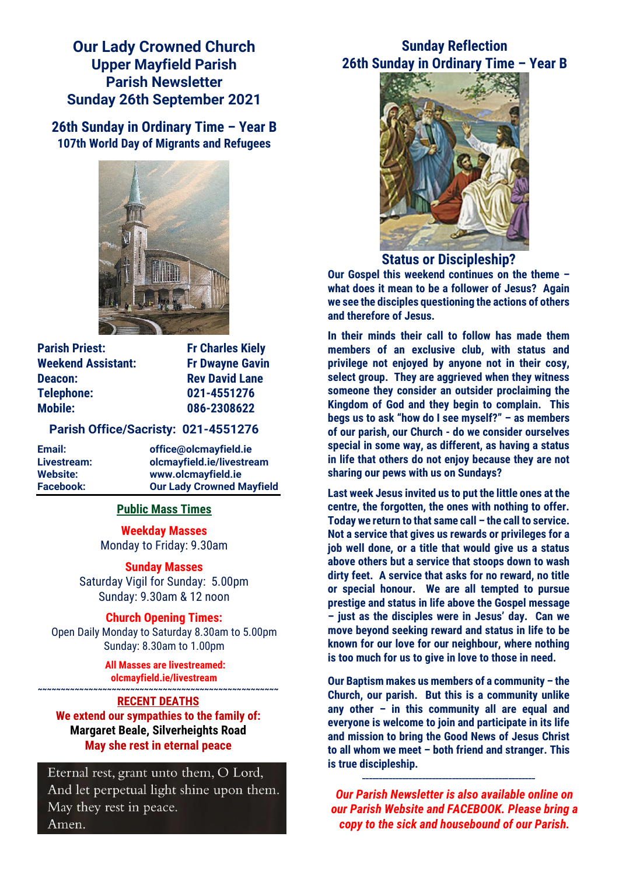**Our Lady Crowned Church Upper Mayfield Parish Parish Newsletter Sunday 26th September 2021**

**26th Sunday in Ordinary Time – Year B 107th World Day of Migrants and Refugees**



**Parish Priest:** Fr Charles Kiely **Weekend Assistant: Fr Dwayne Gavin Deacon:** Rev David Lane **Telephone: 021-4551276 Mobile: 086-2308622** 

#### **Parish Office/Sacristy: 021-4551276**

**Email: office@olcmayfield.ie Livestream: olcmayfield.ie/livestream Website: www.olcmayfield.ie Facebook: Our Lady Crowned Mayfield**

#### **Public Mass Times**

**Weekday Masses** Monday to Friday: 9.30am

**Sunday Masses** Saturday Vigil for Sunday: 5.00pm Sunday: 9.30am & 12 noon

**Church Opening Times:** Open Daily Monday to Saturday 8.30am to 5.00pm Sunday: 8.30am to 1.00pm

> **All Masses are livestreamed: olcmayfield.ie/livestream**

#### **~~~~~~~~~~~~~~~~~~~~~~~~~~~~~~~~~~~~~~~~~~~~~~~~~~~~ RECENT DEATHS**

**We extend our sympathies to the family of: Margaret Beale, Silverheights Road May she rest in eternal peace**

Eternal rest, grant unto them, O Lord, And let perpetual light shine upon them. May they rest in peace. Amen.

# **Sunday Reflection 26th Sunday in Ordinary Time – Year B**



**Status or Discipleship?**

**Our Gospel this weekend continues on the theme – what does it mean to be a follower of Jesus? Again we see the disciples questioning the actions of others and therefore of Jesus.**

**In their minds their call to follow has made them members of an exclusive club, with status and privilege not enjoyed by anyone not in their cosy, select group. They are aggrieved when they witness someone they consider an outsider proclaiming the Kingdom of God and they begin to complain. This begs us to ask "how do I see myself?" – as members of our parish, our Church - do we consider ourselves special in some way, as different, as having a status in life that others do not enjoy because they are not sharing our pews with us on Sundays?** 

**Last week Jesus invited us to put the little ones at the centre, the forgotten, the ones with nothing to offer. Today we return to that same call – the call to service. Not a service that gives us rewards or privileges for a job well done, or a title that would give us a status above others but a service that stoops down to wash dirty feet. A service that asks for no reward, no title or special honour. We are all tempted to pursue prestige and status in life above the Gospel message – just as the disciples were in Jesus' day. Can we move beyond seeking reward and status in life to be known for our love for our neighbour, where nothing is too much for us to give in love to those in need.**

**Our Baptism makes us members of a community – the Church, our parish. But this is a community unlike any other – in this community all are equal and everyone is welcome to join and participate in its life and mission to bring the Good News of Jesus Christ to all whom we meet – both friend and stranger. This is true discipleship.**

**\_\_\_\_\_\_\_\_\_\_\_\_\_\_\_\_\_\_\_\_\_\_\_\_\_\_\_\_\_\_\_\_\_\_\_\_\_\_\_\_\_\_\_\_\_\_\_\_\_\_\_\_**

*Our Parish Newsletter is also available online on our Parish Website and FACEBOOK. Please bring a copy to the sick and housebound of our Parish.*